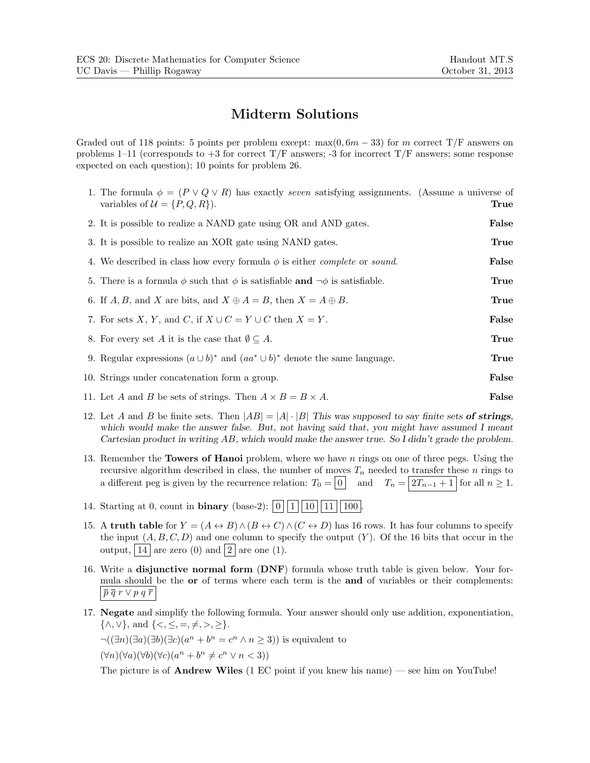## **Midterm Solutions**

Graded out of 118 points: 5 points per problem except: max $(0, 6m - 33)$  for m correct T/F answers on problems 1–11 (corresponds to  $+3$  for correct T/F answers; -3 for incorrect T/F answers; some response expected on each question); 10 points for problem 26.

| 1. The formula $\phi = (P \vee Q \vee R)$ has exactly seven satisfying assignments. (Assume a universe of<br>variables of $\mathcal{U} = \{P, Q, R\}$ . | True  |
|---------------------------------------------------------------------------------------------------------------------------------------------------------|-------|
| 2. It is possible to realize a NAND gate using OR and AND gates.                                                                                        | False |
| 3. It is possible to realize an XOR gate using NAND gates.                                                                                              | True  |
| 4. We described in class how every formula $\phi$ is either <i>complete</i> or <i>sound</i> .                                                           | False |
| 5. There is a formula $\phi$ such that $\phi$ is satisfiable and $\neg \phi$ is satisfiable.                                                            | True  |
| 6. If A, B, and X are bits, and $X \oplus A = B$ , then $X = A \oplus B$ .                                                                              | True  |
| 7. For sets X, Y, and C, if $X \cup C = Y \cup C$ then $X = Y$ .                                                                                        | False |
| 8. For every set A it is the case that $\emptyset \subseteq A$ .                                                                                        | True  |
| 9. Regular expressions $(a \cup b)^*$ and $(aa^* \cup b)^*$ denote the same language.                                                                   | True  |
| 10. Strings under concatenation form a group.                                                                                                           | False |
| 11. Let A and B be sets of strings. Then $A \times B = B \times A$ .                                                                                    | False |
|                                                                                                                                                         |       |

- 12. Let A and B be finite sets. Then  $|AB| = |A| \cdot |B|$  *This was supposed to say finite sets* of strings, *which would make the answer false. But, not having said that, you might have assumed I meant Cartesian product in writing* AB*, which would make the answer true. So I didn't grade the problem.*
- 13. Remember the **Towers of Hanoi** problem, where we have n rings on one of three pegs. Using the recursive algorithm described in class, the number of moves  $T_n$  needed to transfer these n rings to a different peg is given by the recurrence relation:  $T_0 = \boxed{0}$  and  $T_n = \boxed{2T_{n-1} + 1}$  for all  $n \ge 1$ .
- 14. Starting at 0, count in **binary** (base-2):  $|0||1||10||11||100|$
- 15. A **truth table** for  $Y = (A \leftrightarrow B) \land (B \leftrightarrow C) \land (C \leftrightarrow D)$  has 16 rows. It has four columns to specify the input  $(A, B, C, D)$  and one column to specify the output  $(Y)$ . Of the 16 bits that occur in the output,  $|14|$  are zero (0) and  $|2|$  are one (1).
- 16. Write a **disjunctive normal form** (**DNF**) formula whose truth table is given below. Your formula should be the **or** of terms where each term is the **and** of variables or their complements:  $\left|\,\overline{p}\,\overline{q}\,r\vee p\,q\,\overline{r}\right|$
- 17. **Negate** and simplify the following formula. Your answer should only use addition, exponentiation,  $\{\wedge, \vee\}$ , and  $\{\leq, \leq, =, \neq, >, \geq\}.$

 $\neg((\exists n)(\exists a)(\exists b)(\exists c)(a^n + b^n = c^n \land n \geq 3))$  is equivalent to

 $(\forall n)(\forall a)(\forall b)(\forall c)(a^n + b^n \neq c^n \lor n < 3)$ 

The picture is of **Andrew Wiles** (1 EC point if you knew his name) — see him on YouTube!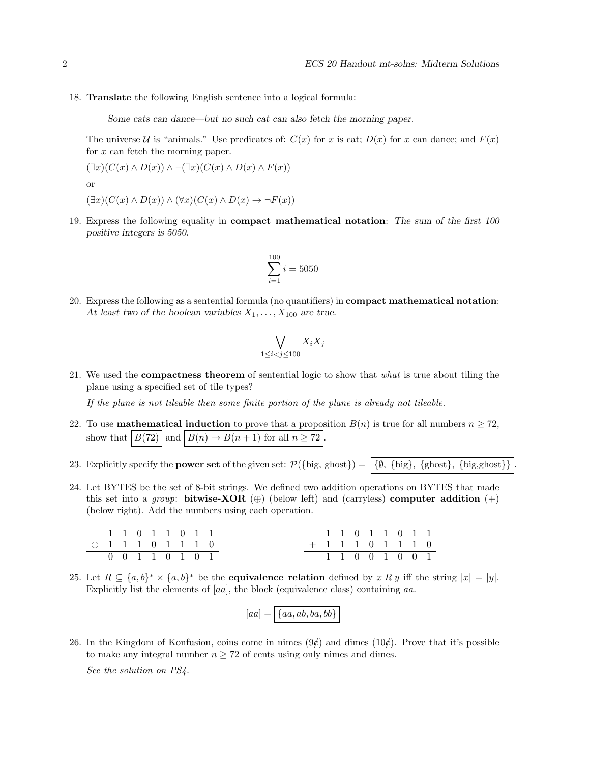18. **Translate** the following English sentence into a logical formula:

*Some cats can dance—but no such cat can also fetch the morning paper.*

The universe U is "animals." Use predicates of:  $C(x)$  for x is cat;  $D(x)$  for x can dance; and  $F(x)$ for x can fetch the morning paper.

$$
(\exists x)(C(x) \land D(x)) \land \neg(\exists x)(C(x) \land D(x) \land F(x))
$$

or

- $(\exists x)(C(x) \wedge D(x)) \wedge (\forall x)(C(x) \wedge D(x) \rightarrow \neg F(x))$
- 19. Express the following equality in **compact mathematical notation**: *The sum of the first 100 positive integers is 5050.*

$$
\sum_{i=1}^{100} i = 5050
$$

20. Express the following as a sentential formula (no quantifiers) in **compact mathematical notation**: At least two of the boolean variables  $X_1, \ldots, X_{100}$  are true.

$$
\bigvee_{1 \leq i < j \leq 100} X_i X_j
$$

21. We used the **compactness theorem** of sentential logic to show that *what* is true about tiling the plane using a specified set of tile types?

*If the plane is not tileable then some finite portion of the plane is already not tileable.*

- 22. To use **mathematical induction** to prove that a proposition  $B(n)$  is true for all numbers  $n \geq 72$ , show that  $|B(72)|$  and  $|B(n) \to B(n+1)$  for all  $n \geq 72$ .
- 23. Explicitly specify the **power set** of the given set:  $\mathcal{P}(\{\text{big, ghost}\}) = \{\emptyset, \{\text{big}\}, \{\text{ghost}\}, \{\text{big, ghost}\}\}\$
- 24. Let BYTES be the set of 8-bit strings. We defined two addition operations on BYTES that made this set into a *group*: **bitwise-XOR**  $(\oplus)$  (below left) and (carryless) **computer addition**  $(+)$ (below right). Add the numbers using each operation.

11011011 ⊕ 11101110 00110101 11011011 +11101110 11001001

25. Let  $R \subseteq \{a, b\}^* \times \{a, b\}^*$  be the **equivalence relation** defined by x R y iff the string  $|x| = |y|$ . Explicitly list the elements of [aa], the block (equivalence class) containing aa.

$$
[aa] = \boxed{\{aa, ab, ba, bb\}}
$$

26. In the Kingdom of Konfusion, coins come in nimes  $(9¢)$  and dimes  $(10¢)$ . Prove that it's possible to make any integral number  $n \geq 72$  of cents using only nimes and dimes.

*See the solution on PS4.*